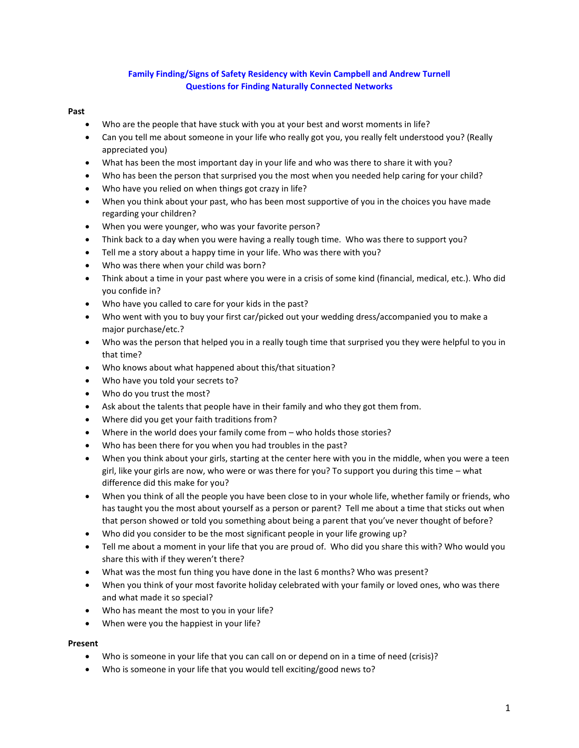# **Family Finding/Signs of Safety Residency with Kevin Campbell and Andrew Turnell Questions for Finding Naturally Connected Networks**

## **Past**

- Who are the people that have stuck with you at your best and worst moments in life?
- Can you tell me about someone in your life who really got you, you really felt understood you? (Really appreciated you)
- What has been the most important day in your life and who was there to share it with you?
- Who has been the person that surprised you the most when you needed help caring for your child?
- Who have you relied on when things got crazy in life?
- When you think about your past, who has been most supportive of you in the choices you have made regarding your children?
- When you were younger, who was your favorite person?
- Think back to a day when you were having a really tough time. Who was there to support you?
- Tell me a story about a happy time in your life. Who was there with you?
- Who was there when your child was born?
- Think about a time in your past where you were in a crisis of some kind (financial, medical, etc.). Who did you confide in?
- Who have you called to care for your kids in the past?
- Who went with you to buy your first car/picked out your wedding dress/accompanied you to make a major purchase/etc.?
- Who was the person that helped you in a really tough time that surprised you they were helpful to you in that time?
- Who knows about what happened about this/that situation?
- Who have you told your secrets to?
- Who do you trust the most?
- Ask about the talents that people have in their family and who they got them from.
- Where did you get your faith traditions from?
- Where in the world does your family come from who holds those stories?
- Who has been there for you when you had troubles in the past?
- When you think about your girls, starting at the center here with you in the middle, when you were a teen girl, like your girls are now, who were or was there for you? To support you during this time – what difference did this make for you?
- When you think of all the people you have been close to in your whole life, whether family or friends, who has taught you the most about yourself as a person or parent? Tell me about a time that sticks out when that person showed or told you something about being a parent that you've never thought of before?
- Who did you consider to be the most significant people in your life growing up?
- Tell me about a moment in your life that you are proud of. Who did you share this with? Who would you share this with if they weren't there?
- What was the most fun thing you have done in the last 6 months? Who was present?
- When you think of your most favorite holiday celebrated with your family or loved ones, who was there and what made it so special?
- Who has meant the most to you in your life?
- When were you the happiest in your life?

#### **Present**

- Who is someone in your life that you can call on or depend on in a time of need (crisis)?
- Who is someone in your life that you would tell exciting/good news to?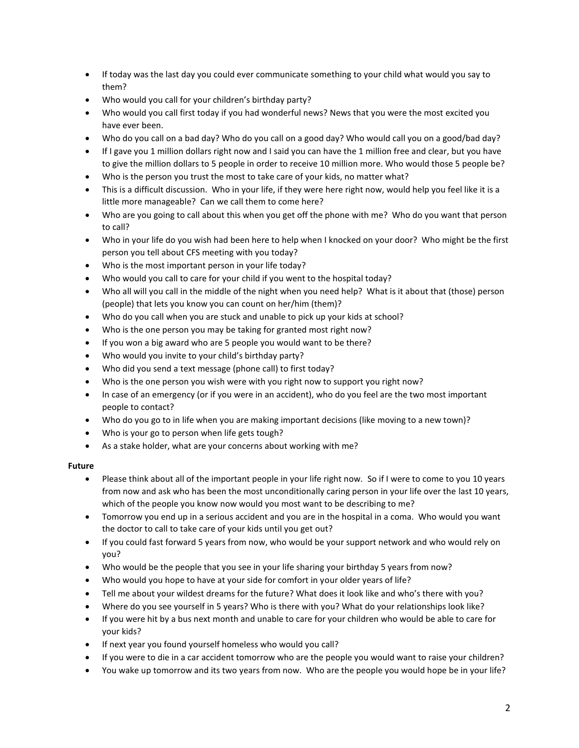- If today was the last day you could ever communicate something to your child what would you say to them?
- Who would you call for your children's birthday party?
- Who would you call first today if you had wonderful news? News that you were the most excited you have ever been.
- Who do you call on a bad day? Who do you call on a good day? Who would call you on a good/bad day?
- If I gave you 1 million dollars right now and I said you can have the 1 million free and clear, but you have to give the million dollars to 5 people in order to receive 10 million more. Who would those 5 people be?
- Who is the person you trust the most to take care of your kids, no matter what?
- This is a difficult discussion. Who in your life, if they were here right now, would help you feel like it is a little more manageable? Can we call them to come here?
- Who are you going to call about this when you get off the phone with me? Who do you want that person to call?
- Who in your life do you wish had been here to help when I knocked on your door? Who might be the first person you tell about CFS meeting with you today?
- Who is the most important person in your life today?
- Who would you call to care for your child if you went to the hospital today?
- Who all will you call in the middle of the night when you need help? What is it about that (those) person (people) that lets you know you can count on her/him (them)?
- Who do you call when you are stuck and unable to pick up your kids at school?
- Who is the one person you may be taking for granted most right now?
- If you won a big award who are 5 people you would want to be there?
- Who would you invite to your child's birthday party?
- Who did you send a text message (phone call) to first today?
- Who is the one person you wish were with you right now to support you right now?
- In case of an emergency (or if you were in an accident), who do you feel are the two most important people to contact?
- Who do you go to in life when you are making important decisions (like moving to a new town)?
- Who is your go to person when life gets tough?
- As a stake holder, what are your concerns about working with me?

# **Future**

- Please think about all of the important people in your life right now. So if I were to come to you 10 years from now and ask who has been the most unconditionally caring person in your life over the last 10 years, which of the people you know now would you most want to be describing to me?
- Tomorrow you end up in a serious accident and you are in the hospital in a coma. Who would you want the doctor to call to take care of your kids until you get out?
- If you could fast forward 5 years from now, who would be your support network and who would rely on you?
- Who would be the people that you see in your life sharing your birthday 5 years from now?
- Who would you hope to have at your side for comfort in your older years of life?
- Tell me about your wildest dreams for the future? What does it look like and who's there with you?
- Where do you see yourself in 5 years? Who is there with you? What do your relationships look like?
- If you were hit by a bus next month and unable to care for your children who would be able to care for your kids?
- If next year you found yourself homeless who would you call?
- If you were to die in a car accident tomorrow who are the people you would want to raise your children?
- You wake up tomorrow and its two years from now. Who are the people you would hope be in your life?